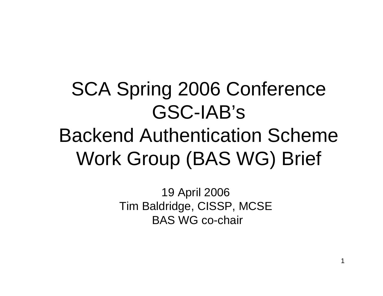# SCA Spring 2006 Conference GSC-IAB's Backend Authentication Scheme Work Group (BAS WG) Brief

19 April 2006 Tim Baldridge, CISSP, MCSE BAS WG co-chair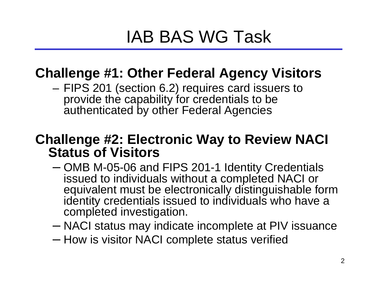### IAB BAS WG Task

### **Challenge #1: Other Federal Agency Visitors**

– FIPS 201 (section 6.2) requires card issuers to provide the capability for credentials to be authenticated by other Federal Agencies

### **Challenge #2: Electronic Way to Review NACI Status of Visitors**

- and the state of the state OMB M-05-06 and FIPS 201-1 Identity Credentials issued to individuals without a completed NACI or equivalent must be electronically distinguishable form identity credentials issued to individuals who have a completed investigation.
- –NACI status may indicate incomplete at PIV issuance
- and the state of the state - How is visitor NACI complete status verified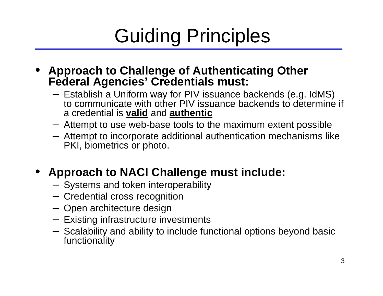# Guiding Principles

- • **Approach to Challenge of Authenticating Other Federal Agencies' Credentials must:**
	- Establish a Uniform way for PIV issuance backends (e.g. IdMS) to communic ate with other PIV issuance backends to determine if a credential is **valid** and **a uthentic**
	- Attempt to use web-base tools to the maximum extent possible
	- Attempt to incorporate additional authentication mechanisms lik e PKI, biometrics or photo.

#### •**Approach to NACI Challenge must include:**

- Systems and token interoperability
- Credential cross recognition
- Open architecture design
- Existing infrastructure investments
- Scalability and ability to include functional options beyond basic functionality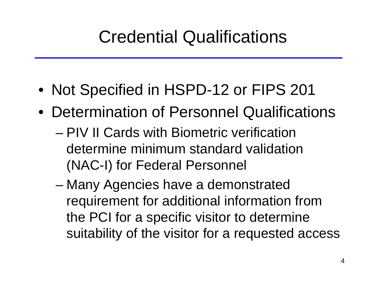### Credential Qualifications

- Not Specified in HSPD-12 or FIPS 201
- •Determination of Personnel Qualifications
	- and the state of the state PIV II Cards with Biometric verification determine minimum standard validation (NAC-I) for Federal Personnel
	- and the state of the state Many Agencies have a demonstrated requirement for additional information from the PCI for a specific visitor to determine suitability of the visitor for a requested access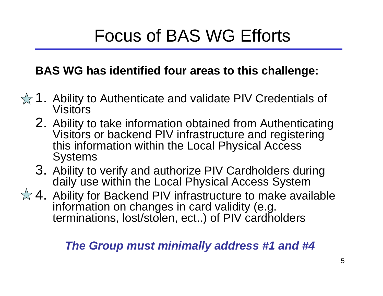### Focus of BAS WG Efforts

#### **BAS WG has identified four areas to this challenge:**

- 1. Ability to Authenticate and validate PIV Credentials of **Visitors** 
	- 2. Ability to take information obtained from Authenticating Visitors or backend PIV infrastructure and registering this information within the Local Physical Access **Systems**
	- 3. Ability to verify and authorize PIV Cardholders during daily use within the Local Physical Access System
- 4. Ability for Backend PIV infrastructure to make available information on changes in card validity (e.g. terminations, lost/stolen, ect..) of PIV cardholders

#### *The Group must minimally address #1 and #4*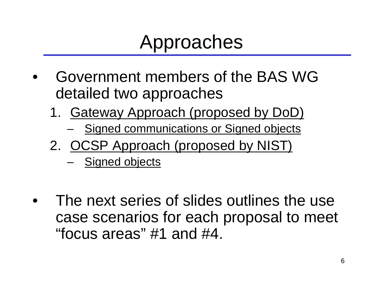## Approaches

- • Government members of the BAS WG detailed two approaches
	- 1. Gateway Approach (proposed by DoD)
		- –Signed communications or Signed objects
	- 2. OCSP Approach (proposed by NIST)
		- –– Signed objects
- • The next series of slides outlines the use case scenarios for each proposal to meet "focus areas" #1 and #4.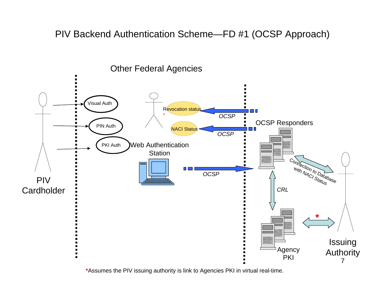#### PIV Backend Authentication Scheme—FD #1 (OCSP Approach)



**\***Assumes the PIV issuing authority is link to Agencies PKI in virtual real-time.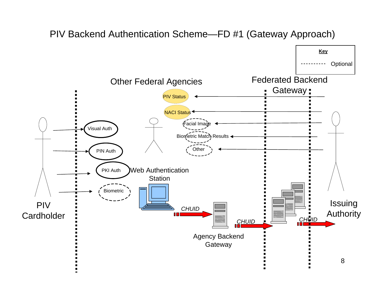#### PIV Backend Authentication Scheme—FD #1 (Gateway Approach)

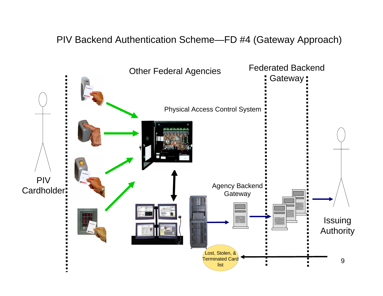#### PIV Backend Authentication Scheme—FD #4 (Gateway Approach)

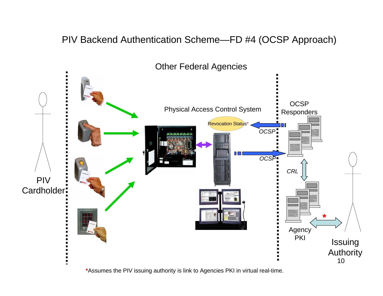#### PIV Backend Authentication Scheme—FD #4 (OCSP Approach)



**\***Assumes the PIV issuing authority is link to Agencies PKI in virtual real-time.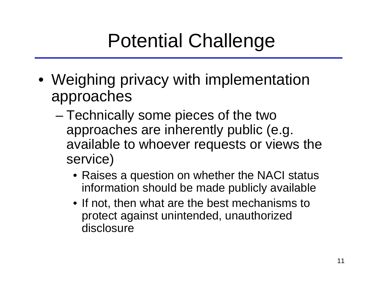## Potential Challenge

- Weighing privacy with implementation approaches
	- and the state of the state – Technically some pieces of the two approaches are inherently public (e.g. available to whoever requests or views the service)
		- Raises a question on whether the NACI status information should be made publicly available
		- If not, then what are the best mechanisms to protect against unintended, unauthorized disclosure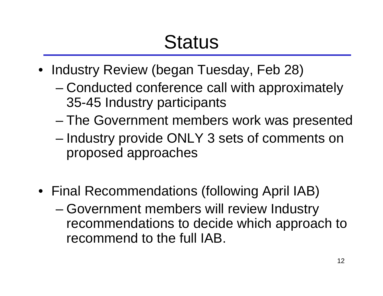## **Status**

- Industry Review (began Tuesday, Feb 28)
	- – Conducted conference call with approximately 35-45 Industry participants
	- and the state of the state The Government members work was presented
	- –- Industry provide ONLY 3 sets of comments on proposed approaches
- Final Recommendations (following April IAB)
	- and the state of the state Government members will review Industry recommendations to decide which approach to recommend to the full IAB.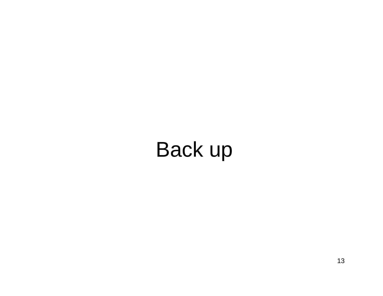# Back up